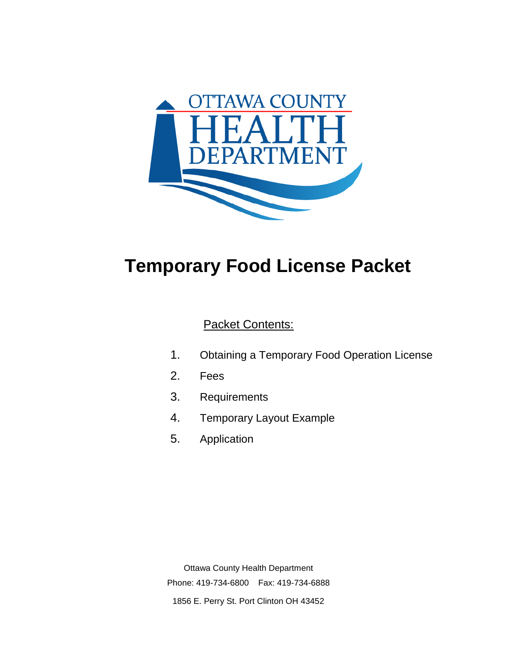

# **Temporary Food License Packet**

## Packet Contents:

- 1. Obtaining a Temporary Food Operation License
- 2. Fees
- 3. Requirements
- 4. Temporary Layout Example
- 5. Application

Ottawa County Health Department Phone: 419-734-6800 Fax: 419-734-6888 1856 E. Perry St. Port Clinton OH 43452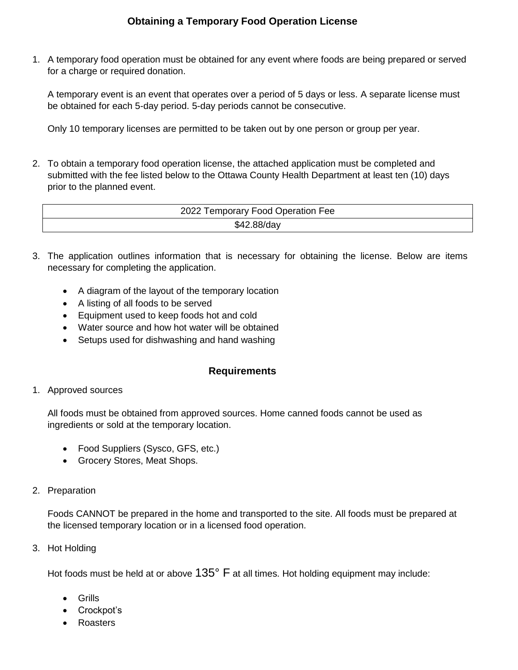1. A temporary food operation must be obtained for any event where foods are being prepared or served for a charge or required donation.

A temporary event is an event that operates over a period of 5 days or less. A separate license must be obtained for each 5-day period. 5-day periods cannot be consecutive.

Only 10 temporary licenses are permitted to be taken out by one person or group per year.

2. To obtain a temporary food operation license, the attached application must be completed and submitted with the fee listed below to the Ottawa County Health Department at least ten (10) days prior to the planned event.

| 2022 Temporary Food Operation Fee |  |  |  |  |  |
|-----------------------------------|--|--|--|--|--|
| \$42.88/day                       |  |  |  |  |  |

- 3. The application outlines information that is necessary for obtaining the license. Below are items necessary for completing the application.
	- A diagram of the layout of the temporary location
	- A listing of all foods to be served
	- Equipment used to keep foods hot and cold
	- Water source and how hot water will be obtained
	- Setups used for dishwashing and hand washing

#### **Requirements**

1. Approved sources

All foods must be obtained from approved sources. Home canned foods cannot be used as ingredients or sold at the temporary location.

- Food Suppliers (Sysco, GFS, etc.)
- Grocery Stores, Meat Shops.
- 2. Preparation

Foods CANNOT be prepared in the home and transported to the site. All foods must be prepared at the licensed temporary location or in a licensed food operation.

3. Hot Holding

Hot foods must be held at or above  $135^{\circ}$  F at all times. Hot holding equipment may include:

- Grills
- Crockpot's
- Roasters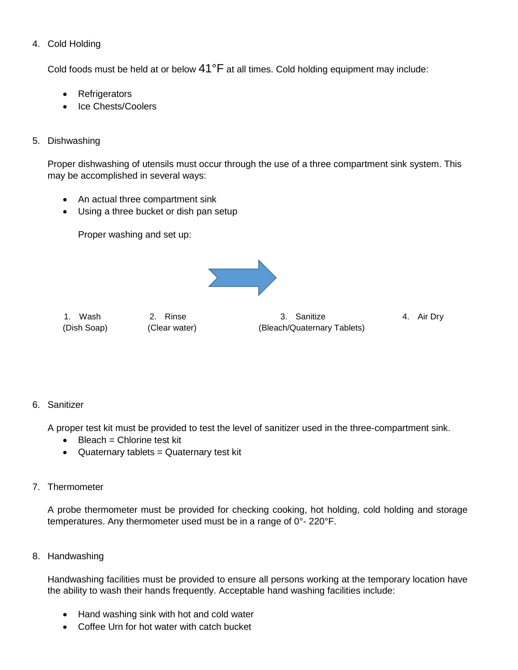#### 4. Cold Holding

Cold foods must be held at or below 41°F at all times. Cold holding equipment may include:

- Refrigerators
- Ice Chests/Coolers

#### 5. Dishwashing

Proper dishwashing of utensils must occur through the use of a three compartment sink system. This may be accomplished in several ways:

- An actual three compartment sink
- Using a three bucket or dish pan setup

Proper washing and set up:



1. Wash 2. Rinse 3. Sanitize 4. Air Dry (Dish Soap) (Clear water) (Bleach/Quaternary Tablets)

#### 6. Sanitizer

A proper test kit must be provided to test the level of sanitizer used in the three-compartment sink.

- $\bullet$  Bleach = Chlorine test kit
- Quaternary tablets = Quaternary test kit
- 7. Thermometer

A probe thermometer must be provided for checking cooking, hot holding, cold holding and storage temperatures. Any thermometer used must be in a range of 0°- 220°F.

8. Handwashing

Handwashing facilities must be provided to ensure all persons working at the temporary location have the ability to wash their hands frequently. Acceptable hand washing facilities include:

- Hand washing sink with hot and cold water
- Coffee Urn for hot water with catch bucket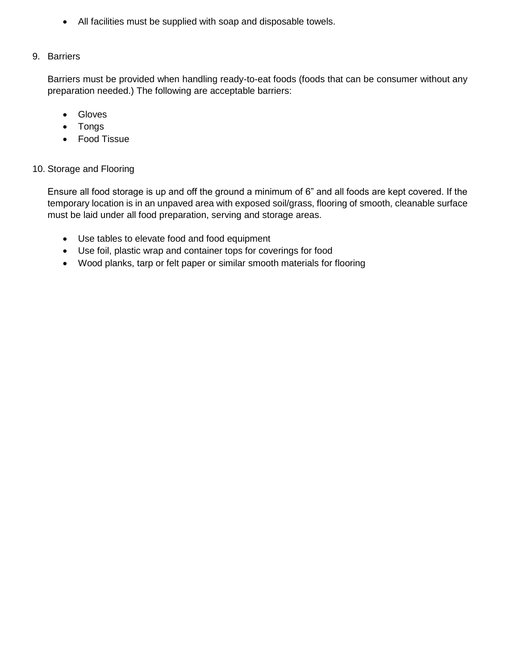All facilities must be supplied with soap and disposable towels.

#### 9. Barriers

Barriers must be provided when handling ready-to-eat foods (foods that can be consumer without any preparation needed.) The following are acceptable barriers:

- Gloves
- Tongs
- Food Tissue

#### 10. Storage and Flooring

Ensure all food storage is up and off the ground a minimum of 6" and all foods are kept covered. If the temporary location is in an unpaved area with exposed soil/grass, flooring of smooth, cleanable surface must be laid under all food preparation, serving and storage areas.

- Use tables to elevate food and food equipment
- Use foil, plastic wrap and container tops for coverings for food
- Wood planks, tarp or felt paper or similar smooth materials for flooring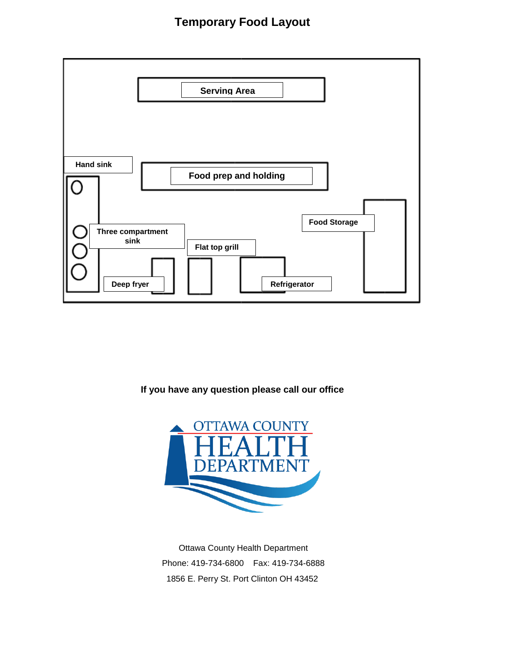# **Temporary Food Layout**



**If you have any question please call our office**



Ottawa County Health Department Phone: 419-734-6800 Fax: 419-734-6888 1856 E. Perry St. Port Clinton OH 43452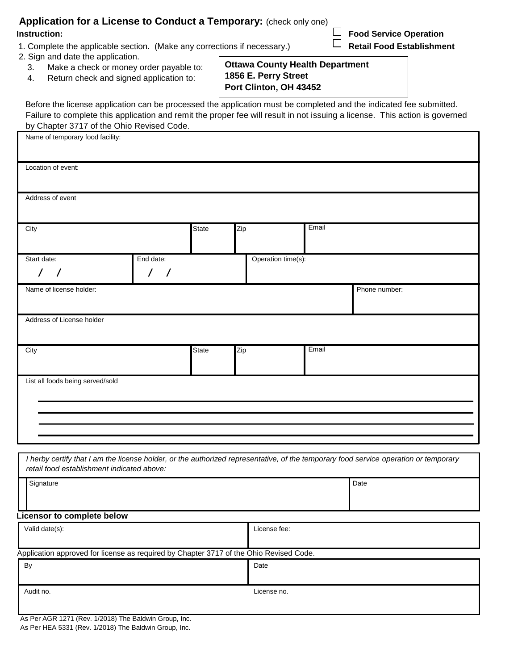| Application for a License to Conduct a Temporary: (check only one) |                               |
|--------------------------------------------------------------------|-------------------------------|
| Instruction:                                                       | $\Box$ Food Service Operation |

1. Complete the applicable section. (Make any corrections if necessary.) **Retail Food Establishment** 

- 2. Sign and date the application.
	- 3. Make a check or money order payable to:
	- 4. Return check and signed application to:

**Port Clinton, OH 43452**

Before the license application can be processed the application must be completed and the indicated fee submitted. Failure to complete this application and remit the proper fee will result in not issuing a license. This action is governed by Chapter 3717 of the Ohio Revised Code.

**1856 E. Perry Street**

**Ottawa County Health Department**

| Name of temporary food facility:           |                            |              |     |                    |       |                                                                                                                                      |
|--------------------------------------------|----------------------------|--------------|-----|--------------------|-------|--------------------------------------------------------------------------------------------------------------------------------------|
| Location of event:                         |                            |              |     |                    |       |                                                                                                                                      |
| Address of event                           |                            |              |     |                    |       |                                                                                                                                      |
| City                                       |                            | State        | Zip |                    | Email |                                                                                                                                      |
| Start date:<br>$\prime$<br>$\prime$        | End date:<br>$\frac{1}{2}$ |              |     | Operation time(s): |       |                                                                                                                                      |
| Name of license holder:                    |                            |              |     |                    |       | Phone number:                                                                                                                        |
| Address of License holder                  |                            |              |     |                    |       |                                                                                                                                      |
| City                                       |                            | <b>State</b> | Zip |                    | Email |                                                                                                                                      |
| List all foods being served/sold           |                            |              |     |                    |       |                                                                                                                                      |
|                                            |                            |              |     |                    |       |                                                                                                                                      |
| retail food establishment indicated above: |                            |              |     |                    |       | I herby certify that I am the license holder, or the authorized representative, of the temporary food service operation or temporary |
| Signature                                  |                            |              |     |                    |       | Date                                                                                                                                 |
| <b>Licensor to complete below</b>          |                            |              |     |                    |       |                                                                                                                                      |
| Valid date(s):                             |                            |              |     | License fee:       |       |                                                                                                                                      |

Application approved for license as required by Chapter 3717 of the Ohio Revised Code.

| <b>By</b> | Date        |
|-----------|-------------|
| Audit no. | License no. |

As Per AGR 1271 (Rev. 1/2018) The Baldwin Group, Inc. As Per HEA 5331 (Rev. 1/2018) The Baldwin Group, Inc.